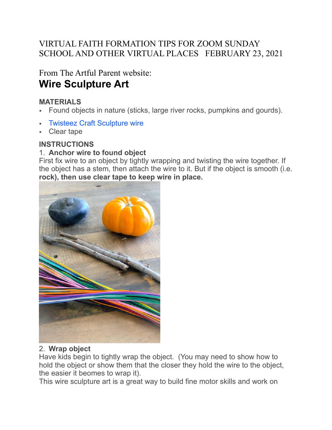# VIRTUAL FAITH FORMATION TIPS FOR ZOOM SUNDAY SCHOOL AND OTHER VIRTUAL PLACES FEBRUARY 23, 2021

From The Artful Parent website: **Wire Sculpture Art**

## **MATERIALS**

- Found objects in nature (sticks, large river rocks, pumpkins and gourds).
- **[Twisteez Craft Sculpture wire](https://amzn.to/3nYgcAT)**
- Clear tape

#### **INSTRUCTIONS**

### 1. **Anchor wire to found object**

First fix wire to an object by tightly wrapping and twisting the wire together. If the object has a stem, then attach the wire to it. But if the object is smooth (i.e. **rock), then use clear tape to keep wire in place.**



### 2. **Wrap object**

Have kids begin to tightly wrap the object. (You may need to show how to hold the object or show them that the closer they hold the wire to the object, the easier it beomes to wrap it).

This wire sculpture art is a great way to build fine motor skills and work on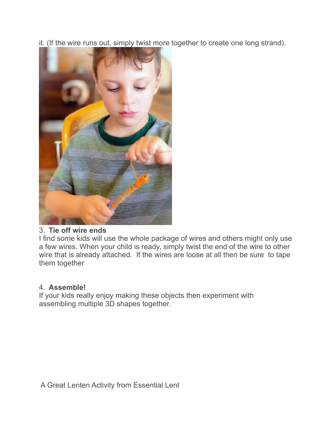it. (If the wire runs out, simply twist more together to create one long strand).



### 3. **Tie off wire ends**

I find some kids will use the whole package of wires and others might only use a few wires. When your child is ready, simply twist the end of the wire to other wire that is already attached. If the wires are loose at all then be sure to tape them together

### 4. **Assemble!**

If your kids really enjoy making these objects then experiment with assembling multiple 3D shapes together.